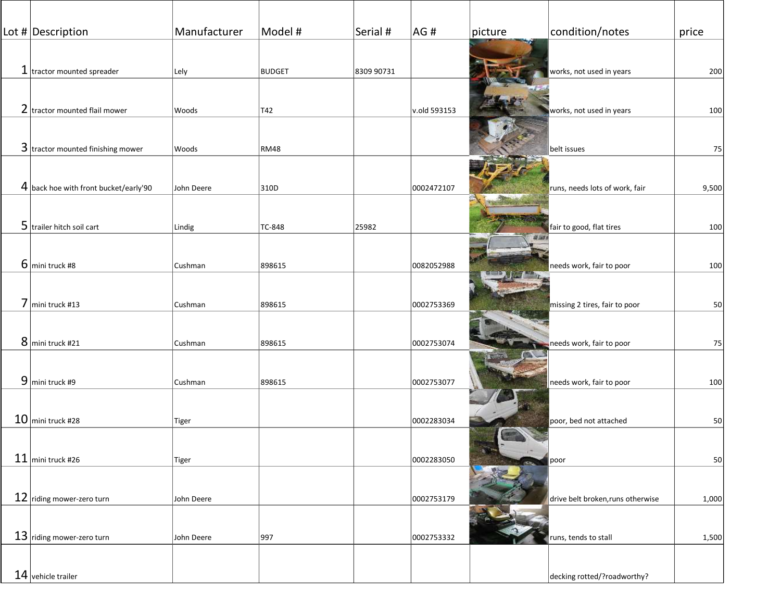| Lot # Description                       | Manufacturer | Model #       | Serial #   | AG#          | picture | condition/notes                   | price |
|-----------------------------------------|--------------|---------------|------------|--------------|---------|-----------------------------------|-------|
|                                         |              |               |            |              |         |                                   |       |
| $1$ tractor mounted spreader            | Lely         | <b>BUDGET</b> | 8309 90731 |              |         | works, not used in years          | 200   |
|                                         |              |               |            |              |         |                                   |       |
| 2 tractor mounted flail mower           | Woods        | T42           |            | v.old 593153 |         | works, not used in years          | 100   |
|                                         |              |               |            |              |         |                                   |       |
| $3$ tractor mounted finishing mower     |              |               |            |              |         |                                   |       |
|                                         | Woods        | <b>RM48</b>   |            |              |         | belt issues                       | 75    |
|                                         |              |               |            |              |         |                                   |       |
| $4$ back hoe with front bucket/early'90 | John Deere   | 310D          |            | 0002472107   |         | runs, needs lots of work, fair    | 9,500 |
|                                         |              |               |            |              |         |                                   |       |
| 5 trailer hitch soil cart               | Lindig       | TC-848        | 25982      |              |         | fair to good, flat tires          | 100   |
|                                         |              |               |            |              |         |                                   |       |
| $6$ mini truck #8                       | Cushman      | 898615        |            | 0082052988   |         | needs work, fair to poor          | 100   |
|                                         |              |               |            |              |         |                                   |       |
| 7 mini truck #13                        | Cushman      | 898615        |            | 0002753369   |         | missing 2 tires, fair to poor     | 50    |
|                                         |              |               |            |              |         |                                   |       |
| 8 mini truck #21                        | Cushman      | 898615        |            | 0002753074   |         | needs work, fair to poor          | 75    |
|                                         |              |               |            |              |         |                                   |       |
| $9$ mini truck #9                       | Cushman      | 898615        |            | 0002753077   |         | needs work, fair to poor          | 100   |
|                                         |              |               |            |              |         |                                   |       |
| $10$ mini truck #28                     |              |               |            |              |         |                                   |       |
|                                         | <b>Tiger</b> |               |            | 0002283034   |         | poor, bed not attached            | 50    |
|                                         |              |               |            |              |         |                                   |       |
| $11$ mini truck #26                     | Tiger        |               |            | 0002283050   |         | poor                              | 50    |
|                                         |              |               |            |              |         |                                   |       |
| $12$ riding mower-zero turn             | John Deere   |               |            | 0002753179   |         | drive belt broken, runs otherwise | 1,000 |
|                                         |              |               |            |              |         |                                   |       |
| $13$ riding mower-zero turn             | John Deere   | 997           |            | 0002753332   |         | runs, tends to stall              | 1,500 |
|                                         |              |               |            |              |         |                                   |       |
| $14$ vehicle trailer                    |              |               |            |              |         | decking rotted/?roadworthy?       |       |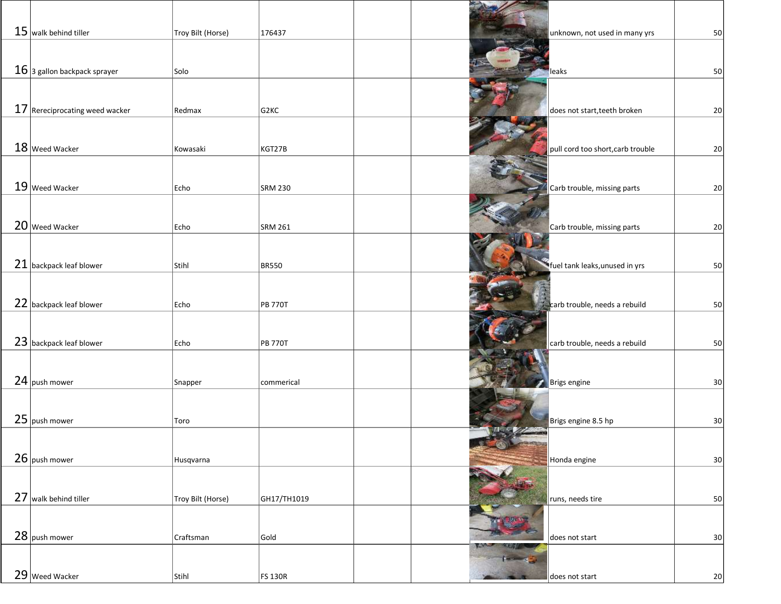| $15$ walk behind tiller          | Troy Bilt (Horse) | 176437            |  | unknown, not used in many yrs     | 50              |
|----------------------------------|-------------------|-------------------|--|-----------------------------------|-----------------|
|                                  |                   |                   |  |                                   |                 |
| $16$ 3 gallon backpack sprayer   | Solo              |                   |  | leaks                             | 50              |
|                                  |                   |                   |  |                                   |                 |
| $17$ Rereciprocating weed wacker | Redmax            | G <sub>2</sub> KC |  | does not start, teeth broken      | 20              |
|                                  |                   |                   |  |                                   |                 |
| 18 Weed Wacker                   | Kowasaki          | KGT27B            |  | pull cord too short, carb trouble | 20              |
|                                  |                   |                   |  |                                   |                 |
| 19 Weed Wacker                   |                   |                   |  |                                   |                 |
|                                  | Echo              | <b>SRM 230</b>    |  | Carb trouble, missing parts       | 20              |
|                                  |                   |                   |  |                                   |                 |
| 20 Weed Wacker                   | Echo              | <b>SRM 261</b>    |  | Carb trouble, missing parts       | 20              |
|                                  |                   |                   |  |                                   |                 |
| 21 backpack leaf blower          | Stihl             | <b>BR550</b>      |  | fuel tank leaks, unused in yrs    | 50              |
|                                  |                   |                   |  |                                   |                 |
| 22 backpack leaf blower          | Echo              | <b>PB 770T</b>    |  | carb trouble, needs a rebuild     | 50              |
|                                  |                   |                   |  |                                   |                 |
| 23 backpack leaf blower          | Echo              | <b>PB 770T</b>    |  | carb trouble, needs a rebuild     | 50              |
|                                  |                   |                   |  |                                   |                 |
| 24 push mower                    | Snapper           | commerical        |  | Brigs engine                      | 30              |
|                                  |                   |                   |  |                                   |                 |
| 25 push mower                    |                   |                   |  |                                   |                 |
|                                  | Toro              |                   |  | Brigs engine 8.5 hp               | 30 <sub>o</sub> |
|                                  |                   |                   |  |                                   |                 |
| 26 push mower                    | Husqvarna         |                   |  | Honda engine                      | 30              |
|                                  |                   |                   |  |                                   |                 |
| 27 walk behind tiller            | Troy Bilt (Horse) | GH17/TH1019       |  | runs, needs tire                  | 50              |
|                                  |                   |                   |  |                                   |                 |
| 28 push mower                    | Craftsman         | Gold              |  | does not start                    | 30 <sub>o</sub> |
|                                  |                   |                   |  |                                   |                 |
| 29 Weed Wacker                   | Stihl             | <b>FS 130R</b>    |  | does not start                    | 20              |